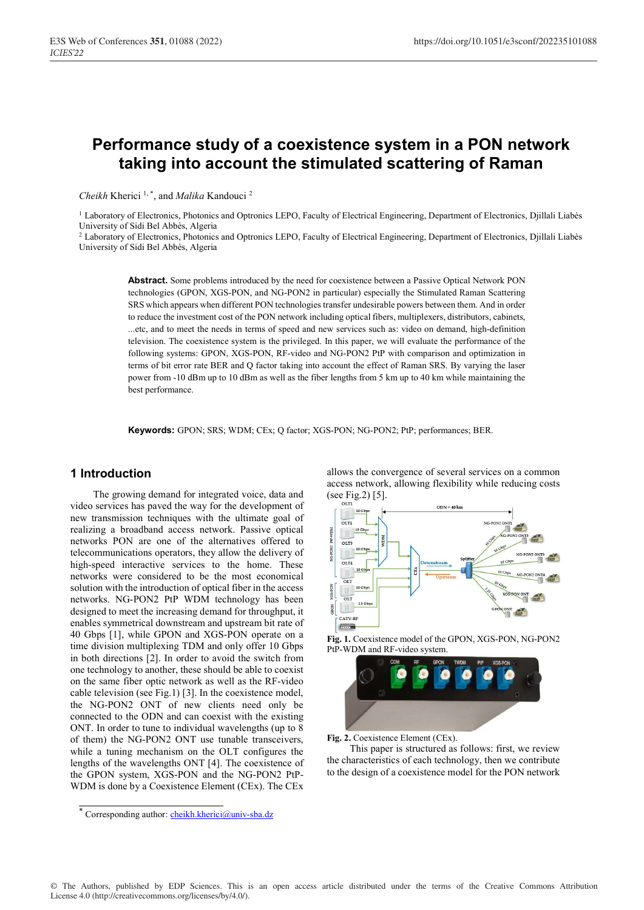# **Performance study of a coexistence system in a PON network taking into account the stimulated scattering of Raman**

*Cheikh* Kherici 1, \*, and *Malika* Kandouci 2

<sup>1</sup> Laboratory of Electronics, Photonics and Optronics LEPO, Faculty of Electrical Engineering, Department of Electronics, Djillali Liabès University of Sidi Bel Abbès, Algeria

 $^2$  Laboratory of Electronics, Photonics and Optronics LEPO, Faculty of Electrical Engineering, Department of Electronics, Djillali Liabès University of Sidi Bel Abbès, Algeria

**Abstract.** Some problems introduced by the need for coexistence between a Passive Optical Network PON technologies (GPON, XGS-PON, and NG-PON2 in particular) especially the Stimulated Raman Scattering SRS which appears when different PON technologies transfer undesirable powers between them. And in order to reduce the investment cost of the PON network including optical fibers, multiplexers, distributors, cabinets, ...etc, and to meet the needs in terms of speed and new services such as: video on demand, high-definition television. The coexistence system is the privileged. In this paper, we will evaluate the performance of the following systems: GPON, XGS-PON, RF-video and NG-PON2 PtP with comparison and optimization in terms of bit error rate BER and Q factor taking into account the effect of Raman SRS. By varying the laser power from -10 dBm up to 10 dBm as well as the fiber lengths from 5 km up to 40 km while maintaining the best performance.

**Keywords:** GPON; SRS; WDM; CEx; Q factor; XGS-PON; NG-PON2; PtP; performances; BER.

#### **1 Introduction**

The growing demand for integrated voice, data and video services has paved the way for the development of new transmission techniques with the ultimate goal of realizing a broadband access network. Passive optical networks PON are one of the alternatives offered to telecommunications operators, they allow the delivery of high-speed interactive services to the home. These networks were considered to be the most economical solution with the introduction of optical fiber in the access networks. NG-PON2 PtP WDM technology has been designed to meet the increasing demand for throughput, it enables symmetrical downstream and upstream bit rate of 40 Gbps [1], while GPON and XGS-PON operate on a time division multiplexing TDM and only offer 10 Gbps in both directions [2]. In order to avoid the switch from one technology to another, these should be able to coexist on the same fiber optic network as well as the RF-video cable television (see Fig.1) [3]. In the coexistence model, the NG-PON2 ONT of new clients need only be connected to the ODN and can coexist with the existing ONT. In order to tune to individual wavelengths (up to 8 of them) the NG-PON2 ONT use tunable transceivers, while a tuning mechanism on the OLT configures the lengths of the wavelengths ONT [4]. The coexistence of the GPON system, XGS-PON and the NG-PON2 PtP-WDM is done by a Coexistence Element (CEx). The CEx

allows the convergence of several services on a common access network, allowing flexibility while reducing costs (see Fig.2) [5].



**Fig. 1.** Coexistence model of the GPON, XGS-PON, NG-PON2 PtP-WDM and RF-video system.



Fig. 2. Coexistence Element (CEx).

This paper is structured as follows: first, we review the characteristics of each technology, then we contribute to the design of a coexistence model for the PON network

<sup>\*</sup> Corresponding author: cheikh.kherici@univ-sba.dz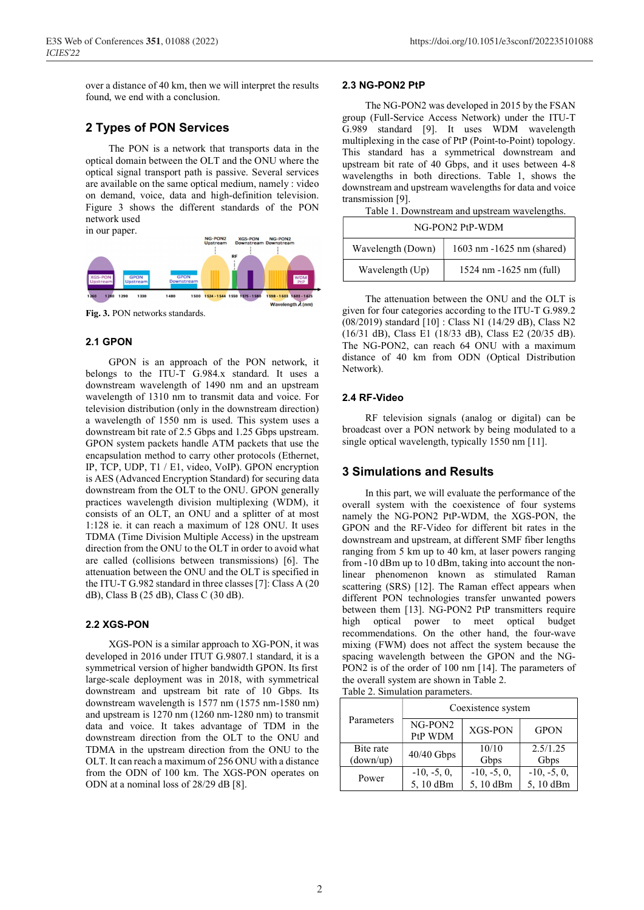over a distance of 40 km, then we will interpret the results found, we end with a conclusion.

## **2 Types of PON Services**

The PON is a network that transports data in the optical domain between the OLT and the ONU where the optical signal transport path is passive. Several services are available on the same optical medium, namely : video on demand, voice, data and high-definition television. Figure 3 shows the different standards of the PON network used



**Fig. 3.** PON networks standards.

#### **2.1 GPON**

GPON is an approach of the PON network, it belongs to the ITU-T G.984.x standard. It uses a downstream wavelength of 1490 nm and an upstream wavelength of 1310 nm to transmit data and voice. For television distribution (only in the downstream direction) a wavelength of 1550 nm is used. This system uses a downstream bit rate of 2.5 Gbps and 1.25 Gbps upstream. GPON system packets handle ATM packets that use the encapsulation method to carry other protocols (Ethernet, IP, TCP, UDP, T1 / E1, video, VoIP). GPON encryption is AES (Advanced Encryption Standard) for securing data downstream from the OLT to the ONU. GPON generally practices wavelength division multiplexing (WDM), it consists of an OLT, an ONU and a splitter of at most 1:128 ie. it can reach a maximum of 128 ONU. It uses TDMA (Time Division Multiple Access) in the upstream direction from the ONU to the OLT in order to avoid what are called (collisions between transmissions) [6]. The attenuation between the ONU and the OLT is specified in the ITU-T G.982 standard in three classes [7]: Class A (20 dB), Class B (25 dB), Class C (30 dB).

#### **2.2 XGS-PON**

XGS-PON is a similar approach to XG-PON, it was developed in 2016 under ITUT G.9807.1 standard, it is a symmetrical version of higher bandwidth GPON. Its first large-scale deployment was in 2018, with symmetrical downstream and upstream bit rate of 10 Gbps. Its downstream wavelength is 1577 nm (1575 nm-1580 nm) and upstream is 1270 nm (1260 nm-1280 nm) to transmit data and voice. It takes advantage of TDM in the downstream direction from the OLT to the ONU and TDMA in the upstream direction from the ONU to the OLT. It can reach a maximum of 256 ONU with a distance from the ODN of 100 km. The XGS-PON operates on ODN at a nominal loss of 28/29 dB [8].

#### **2.3 NG-PON2 PtP**

The NG-PON2 was developed in 2015 by the FSAN group (Full-Service Access Network) under the ITU-T G.989 standard [9]. It uses WDM wavelength multiplexing in the case of PtP (Point-to-Point) topology. This standard has a symmetrical downstream and upstream bit rate of 40 Gbps, and it uses between 4-8 wavelengths in both directions. Table 1, shows the downstream and upstream wavelengths for data and voice transmission [9].

Table 1. Downstream and upstream wavelengths.

| NG-PON2 PtP-WDM   |                                            |  |  |
|-------------------|--------------------------------------------|--|--|
| Wavelength (Down) | 1603 nm -1625 nm (shared)                  |  |  |
| Wavelength (Up)   | $1524 \text{ nm} - 1625 \text{ nm}$ (full) |  |  |

The attenuation between the ONU and the OLT is given for four categories according to the ITU-T G.989.2 (08/2019) standard [10] : Class N1 (14/29 dB), Class N2 (16/31 dB), Class E1 (18/33 dB), Class E2 (20/35 dB). The NG-PON2, can reach 64 ONU with a maximum distance of 40 km from ODN (Optical Distribution Network).

#### **2.4 RF-Video**

RF television signals (analog or digital) can be broadcast over a PON network by being modulated to a single optical wavelength, typically 1550 nm [11].

### **3 Simulations and Results**

In this part, we will evaluate the performance of the overall system with the coexistence of four systems namely the NG-PON2 PtP-WDM, the XGS-PON, the GPON and the RF-Video for different bit rates in the downstream and upstream, at different SMF fiber lengths ranging from 5 km up to 40 km, at laser powers ranging from -10 dBm up to 10 dBm, taking into account the nonlinear phenomenon known as stimulated Raman scattering (SRS) [12]. The Raman effect appears when different PON technologies transfer unwanted powers between them [13]. NG-PON2 PtP transmitters require high optical power to meet optical budget recommendations. On the other hand, the four-wave mixing (FWM) does not affect the system because the spacing wavelength between the GPON and the NG-PON2 is of the order of 100 nm [14]. The parameters of the overall system are shown in Table 2.

Table 2. Simulation parameters.

| Parameters  | Coexistence system |               |               |  |
|-------------|--------------------|---------------|---------------|--|
|             | NG-PON2<br>PtP WDM | XGS-PON       | <b>GPON</b>   |  |
| Bite rate   | 40/40 Gbps         | 10/10         | 2.5/1.25      |  |
| $(down-up)$ |                    | Gbps          | Gbps          |  |
| Power       | $-10, -5, 0,$      | $-10, -5, 0,$ | $-10, -5, 0,$ |  |
|             | 5,10 dBm           | 5,10 dBm      | 5,10 dBm      |  |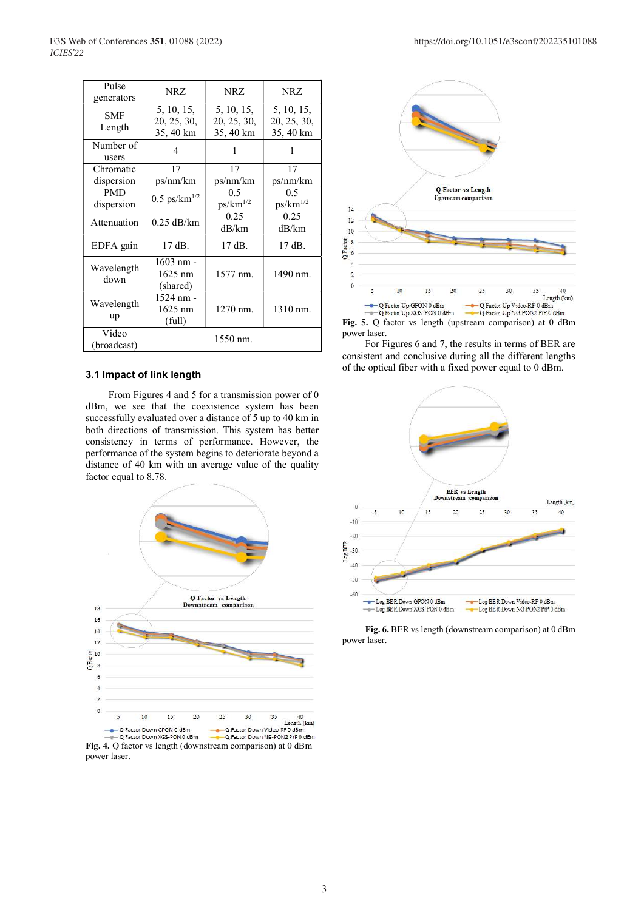| Pulse<br>generators      | NRZ.                                   | NRZ.                                   | NRZ.                                   |
|--------------------------|----------------------------------------|----------------------------------------|----------------------------------------|
| SMF<br>Length            | 5, 10, 15,<br>20, 25, 30,<br>35, 40 km | 5, 10, 15,<br>20, 25, 30,<br>35, 40 km | 5, 10, 15,<br>20, 25, 30,<br>35, 40 km |
| Number of<br>users       | 4                                      | 1                                      | 1                                      |
| Chromatic<br>dispersion  | 17<br>ps/nm/km                         | 17<br>ps/nm/km                         | 17<br>ps/nm/km                         |
| <b>PMD</b><br>dispersion | $0.5 \text{ ps/km}^{1/2}$              | 0.5<br>$ps/km^{1/2}$                   | 0.5<br>$ps/km^{1/2}$                   |
| Attenuation              | $0.25$ dB/km                           | 0.25<br>dB/km                          | 0.25<br>dB/km                          |
| EDFA gain                | $17$ dB.                               | 17 dB.                                 | 17 dB.                                 |
| Wavelength<br>down       | 1603 nm -<br>$1625$ nm<br>(shared)     | 1577 nm.                               | 1490 nm.                               |
| Wavelength<br>up         | 1524 nm -<br>$1625$ nm<br>(full)       | 1270 nm.                               | 1310 nm.                               |
| Video<br>(broadcast)     |                                        | 1550 nm.                               |                                        |

#### **3.1 Impact of link length**

From Figures 4 and 5 for a transmission power of 0 dBm, we see that the coexistence system has been successfully evaluated over a distance of 5 up to 40 km in both directions of transmission. This system has better consistency in terms of performance. However, the performance of the system begins to deteriorate beyond a distance of 40 km with an average value of the quality factor equal to 8.78.



**Fig. 4.** Q factor vs length (downstream comparison) at 0 dBm power laser.



**Fig. 5.** Q factor vs length (upstream comparison) at 0 dBm power laser.

For Figures 6 and 7, the results in terms of BER are consistent and conclusive during all the different lengths of the optical fiber with a fixed power equal to 0 dBm.



**Fig. 6.** BER vs length (downstream comparison) at 0 dBm power laser.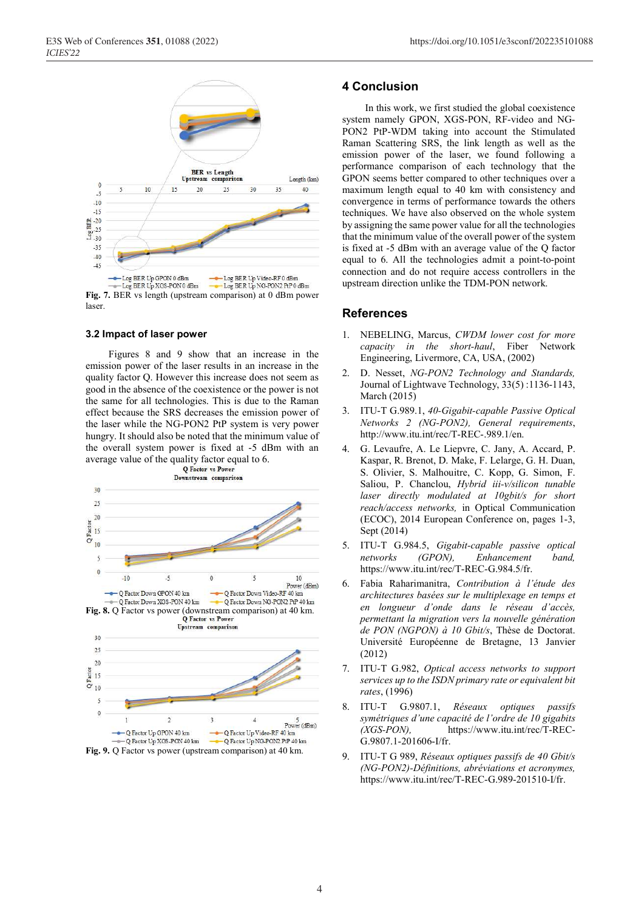

#### **3.2 Impact of laser power**

Figures 8 and 9 show that an increase in the emission power of the laser results in an increase in the quality factor Q. However this increase does not seem as good in the absence of the coexistence or the power is not the same for all technologies. This is due to the Raman effect because the SRS decreases the emission power of the laser while the NG-PON2 PtP system is very power hungry. It should also be noted that the minimum value of the overall system power is fixed at -5 dBm with an average value of the quality factor equal to 6.<br>Q Factor vs Power



**Fig. 9.** Q Factor vs power (upstream comparison) at 40 km.

#### **4 Conclusion**

In this work, we first studied the global coexistence system namely GPON, XGS-PON, RF-video and NG-PON2 PtP-WDM taking into account the Stimulated Raman Scattering SRS, the link length as well as the emission power of the laser, we found following a performance comparison of each technology that the GPON seems better compared to other techniques over a maximum length equal to 40 km with consistency and convergence in terms of performance towards the others techniques. We have also observed on the whole system by assigning the same power value for all the technologies that the minimum value of the overall power of the system is fixed at -5 dBm with an average value of the Q factor equal to 6. All the technologies admit a point-to-point connection and do not require access controllers in the upstream direction unlike the TDM-PON network.

#### **References**

- 1. NEBELING, Marcus, *CWDM lower cost for more capacity in the short-haul*, Fiber Network Engineering, Livermore, CA, USA, (2002)
- 2. D. Nesset, *NG-PON2 Technology and Standards,*  Journal of Lightwave Technology, 33(5) :1136-1143, March (2015)
- 3. ITU-T G.989.1, *40-Gigabit-capable Passive Optical Networks 2 (NG-PON2), General requirements*, http://www.itu.int/rec/T-REC-.989.1/en.
- 4. G. Levaufre, A. Le Liepvre, C. Jany, A. Accard, P. Kaspar, R. Brenot, D. Make, F. Lelarge, G. H. Duan, S. Olivier, S. Malhouitre, C. Kopp, G. Simon, F. Saliou, P. Chanclou, *Hybrid iii-v/silicon tunable laser directly modulated at 10gbit/s for short reach/access networks,* in Optical Communication (ECOC), 2014 European Conference on, pages 1-3, Sept (2014)
- 5. ITU-T G.984.5, *Gigabit-capable passive optical networks (GPON), Enhancement band,*  https://www.itu.int/rec/T-REC-G.984.5/fr.
- 6. Fabia Raharimanitra, *Contribution à l'étude des architectures basées sur le multiplexage en temps et en longueur d'onde dans le réseau d'accès, permettant la migration vers la nouvelle génération de PON (NGPON) à 10 Gbit/s*, Thèse de Doctorat. Université Européenne de Bretagne, 13 Janvier (2012)
- 7. ITU-T G.982, *Optical access networks to support services up to the ISDN primary rate or equivalent bit rates*, (1996)
- 8. ITU-T G.9807.1, *Réseaux optiques passifs symétriques d'une capacité de l'ordre de 10 gigabits (XGS-PON),* https://www.itu.int/rec/T-REC-G.9807.1-201606-I/fr.
- 9. ITU-T G 989, *Réseaux optiques passifs de 40 Gbit/s (NG-PON2)-Définitions, abréviations et acronymes,*  https://www.itu.int/rec/T-REC-G.989-201510-I/fr.